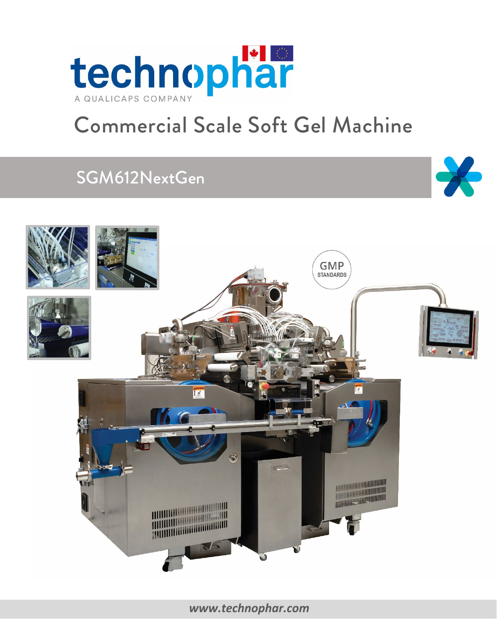

# Commercial Scale Soft Gel Machine

## SGM612NextGen





*[www.technophar.com](http://www.technophar.com/)*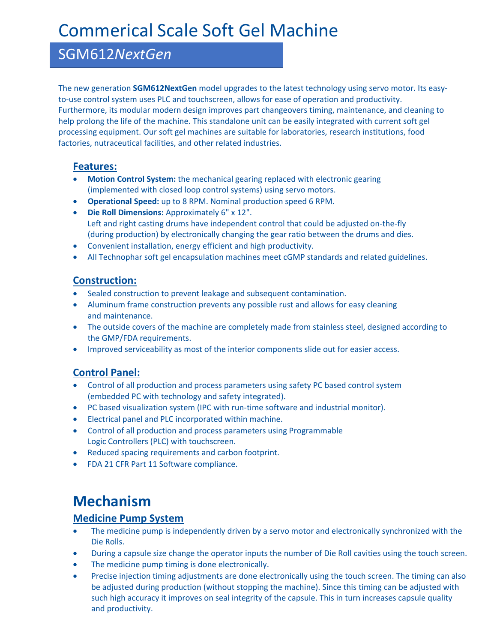## Commerical Scale Soft Gel Machine

### SGM612*NextGen*

The new generation **SGM612NextGen** model upgrades to the latest technology using servo motor. Its easyto-use control system uses PLC and touchscreen, allows for ease of operation and productivity. Furthermore, its modular modern design improves part changeovers timing, maintenance, and cleaning to help prolong the life of the machine. This standalone unit can be easily integrated with current soft gel processing equipment. Our soft gel machines are suitable for laboratories, research institutions, food factories, nutraceutical facilities, and other related industries.

#### **Features:**

- **Motion Control System:** the mechanical gearing replaced with electronic gearing (implemented with closed loop control systems) using servo motors.
- **Operational Speed:** up to 8 RPM. Nominal production speed 6 RPM.
- **Die Roll Dimensions:** Approximately 6" x 12". Left and right casting drums have independent control that could be adjusted on-the-fly (during production) by electronically changing the gear ratio between the drums and dies.
- Convenient installation, energy efficient and high productivity.
- All Technophar soft gel encapsulation machines meet cGMP standards and related guidelines.

### **Construction:**

- Sealed construction to prevent leakage and subsequent contamination.
- Aluminum frame construction prevents any possible rust and allows for easy cleaning and maintenance.
- The outside covers of the machine are completely made from stainless steel, designed according to the GMP/FDA requirements.
- Improved serviceability as most of the interior components slide out for easier access.

### **Control Panel:**

- Control of all production and process parameters using safety PC based control system (embedded PC with technology and safety integrated).
- PC based visualization system (IPC with run-time software and industrial monitor).
- Electrical panel and PLC incorporated within machine.
- Control of all production and process parameters using Programmable Logic Controllers (PLC) with touchscreen.
- Reduced spacing requirements and carbon footprint.
- FDA 21 CFR Part 11 Software compliance.

### **Mechanism**

### **Medicine Pump System**

- The medicine pump is independently driven by a servo motor and electronically synchronized with the Die Rolls.
- During a capsule size change the operator inputs the number of Die Roll cavities using the touch screen.
- The medicine pump timing is done electronically.
- Precise injection timing adjustments are done electronically using the touch screen. The timing can also be adjusted during production (without stopping the machine). Since this timing can be adjusted with such high accuracy it improves on seal integrity of the capsule. This in turn increases capsule quality and productivity.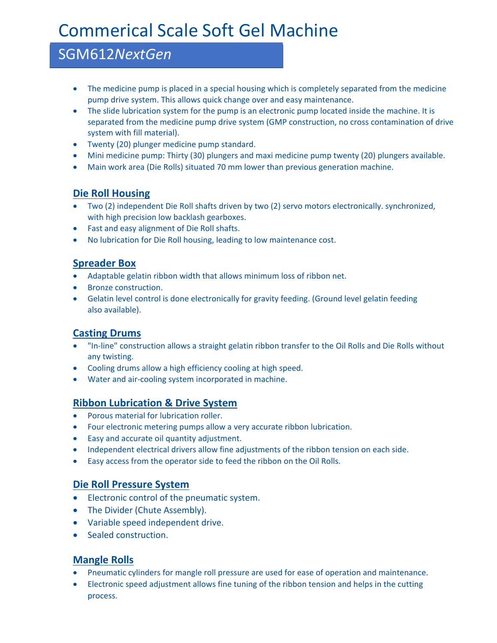## Commerical Scale Soft Gel Machine

### SGM612*NextGen*

- The medicine pump is placed in a special housing which is completely separated from the medicine pump drive system. This allows quick change over and easy maintenance.
- The slide lubrication system for the pump is an electronic pump located inside the machine. It is separated from the medicine pump drive system (GMP construction, no cross contamination of drive system with fill material).
- Twenty (20) plunger medicine pump standard.
- Mini medicine pump: Thirty (30) plungers and maxi medicine pump twenty (20) plungers available.
- Main work area (Die Rolls) situated 70 mm lower than previous generation machine.

### **Die Roll Housing**

- Two (2) independent Die Roll shafts driven by two (2) servo motors electronically. synchronized, with high precision low backlash gearboxes.
- Fast and easy alignment of Die Roll shafts.
- No lubrication for Die Roll housing, leading to low maintenance cost.

### **Spreader Box**

- Adaptable gelatin ribbon width that allows minimum loss of ribbon net.
- Bronze construction.
- Gelatin level control is done electronically for gravity feeding. (Ground level gelatin feeding also available).

### **Casting Drums**

- "In-line" construction allows a straight gelatin ribbon transfer to the Oil Rolls and Die Rolls without any twisting.
- Cooling drums allow a high efficiency cooling at high speed.
- Water and air-cooling system incorporated in machine.

### **Ribbon Lubrication & Drive System**

- Porous material for lubrication roller.
- Four electronic metering pumps allow a very accurate ribbon lubrication.
- Easy and accurate oil quantity adjustment.
- Independent electrical drivers allow fine adjustments of the ribbon tension on each side.
- Easy access from the operator side to feed the ribbon on the Oil Rolls.

### **Die Roll Pressure System**

- Electronic control of the pneumatic system.
- The Divider (Chute Assembly).
- Variable speed independent drive.
- Sealed construction.

### **Mangle Rolls**

- Pneumatic cylinders for mangle roll pressure are used for ease of operation and maintenance.
- Electronic speed adjustment allows fine tuning of the ribbon tension and helps in the cutting process.